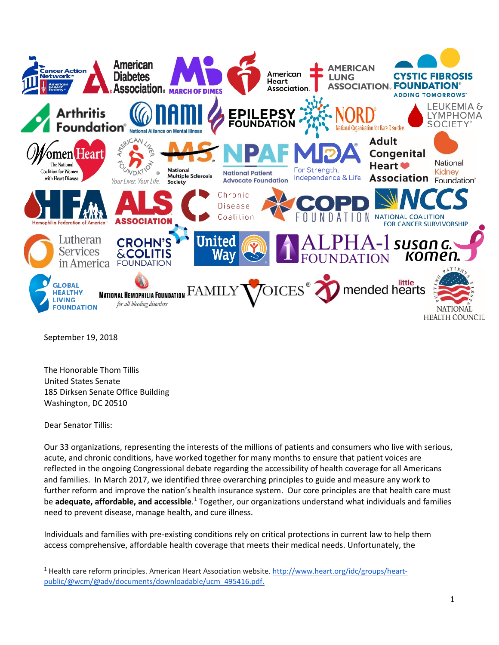

September 19, 2018

The Honorable Thom Tillis United States Senate 185 Dirksen Senate Office Building Washington, DC 20510

Dear Senator Tillis:

Our 33 organizations, representing the interests of the millions of patients and consumers who live with serious, acute, and chronic conditions, have worked together for many months to ensure that patient voices are reflected in the ongoing Congressional debate regarding the accessibility of health coverage for all Americans and families. In March 2017, we identified three overarching principles to guide and measure any work to further reform and improve the nation's health insurance system. Our core principles are that health care must be **adequate, affordable, and accessible**.<sup>[1](#page-0-0)</sup> Together, our organizations understand what individuals and families need to prevent disease, manage health, and cure illness.

Individuals and families with pre-existing conditions rely on critical protections in current law to help them access comprehensive, affordable health coverage that meets their medical needs. Unfortunately, the

<span id="page-0-0"></span><sup>&</sup>lt;sup>1</sup> Health care reform principles. American Heart Association website. [http://www.heart.org/idc/groups/heart](http://www.heart.org/idc/groups/heart-public/@wcm/@adv/documents/downloadable/ucm_495416.pdf)[public/@wcm/@adv/documents/downloadable/ucm\\_495416.pdf.](http://www.heart.org/idc/groups/heart-public/@wcm/@adv/documents/downloadable/ucm_495416.pdf)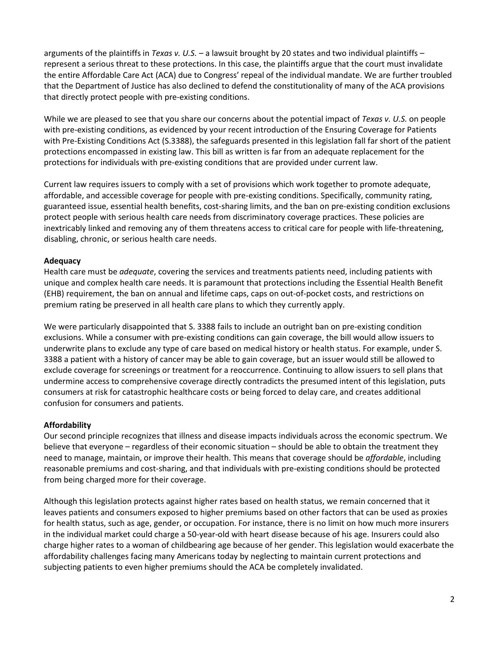arguments of the plaintiffs in *Texas v. U.S. –* a lawsuit brought by 20 states and two individual plaintiffs – represent a serious threat to these protections. In this case, the plaintiffs argue that the court must invalidate the entire Affordable Care Act (ACA) due to Congress' repeal of the individual mandate. We are further troubled that the Department of Justice has also declined to defend the constitutionality of many of the ACA provisions that directly protect people with pre-existing conditions.

While we are pleased to see that you share our concerns about the potential impact of *Texas v. U.S.* on people with pre-existing conditions, as evidenced by your recent introduction of the Ensuring Coverage for Patients with Pre-Existing Conditions Act (S.3388), the safeguards presented in this legislation fall far short of the patient protections encompassed in existing law. This bill as written is far from an adequate replacement for the protections for individuals with pre-existing conditions that are provided under current law.

Current law requires issuers to comply with a set of provisions which work together to promote adequate, affordable, and accessible coverage for people with pre-existing conditions. Specifically, community rating, guaranteed issue, essential health benefits, cost-sharing limits, and the ban on pre-existing condition exclusions protect people with serious health care needs from discriminatory coverage practices. These policies are inextricably linked and removing any of them threatens access to critical care for people with life-threatening, disabling, chronic, or serious health care needs.

## **Adequacy**

Health care must be *adequate*, covering the services and treatments patients need, including patients with unique and complex health care needs. It is paramount that protections including the Essential Health Benefit (EHB) requirement, the ban on annual and lifetime caps, caps on out-of-pocket costs, and restrictions on premium rating be preserved in all health care plans to which they currently apply.

We were particularly disappointed that S. 3388 fails to include an outright ban on pre-existing condition exclusions. While a consumer with pre-existing conditions can gain coverage, the bill would allow issuers to underwrite plans to exclude any type of care based on medical history or health status. For example, under S. 3388 a patient with a history of cancer may be able to gain coverage, but an issuer would still be allowed to exclude coverage for screenings or treatment for a reoccurrence. Continuing to allow issuers to sell plans that undermine access to comprehensive coverage directly contradicts the presumed intent of this legislation, puts consumers at risk for catastrophic healthcare costs or being forced to delay care, and creates additional confusion for consumers and patients.

## **Affordability**

Our second principle recognizes that illness and disease impacts individuals across the economic spectrum. We believe that everyone – regardless of their economic situation – should be able to obtain the treatment they need to manage, maintain, or improve their health. This means that coverage should be *affordable*, including reasonable premiums and cost-sharing, and that individuals with pre-existing conditions should be protected from being charged more for their coverage.

Although this legislation protects against higher rates based on health status, we remain concerned that it leaves patients and consumers exposed to higher premiums based on other factors that can be used as proxies for health status, such as age, gender, or occupation. For instance, there is no limit on how much more insurers in the individual market could charge a 50-year-old with heart disease because of his age. Insurers could also charge higher rates to a woman of childbearing age because of her gender. This legislation would exacerbate the affordability challenges facing many Americans today by neglecting to maintain current protections and subjecting patients to even higher premiums should the ACA be completely invalidated.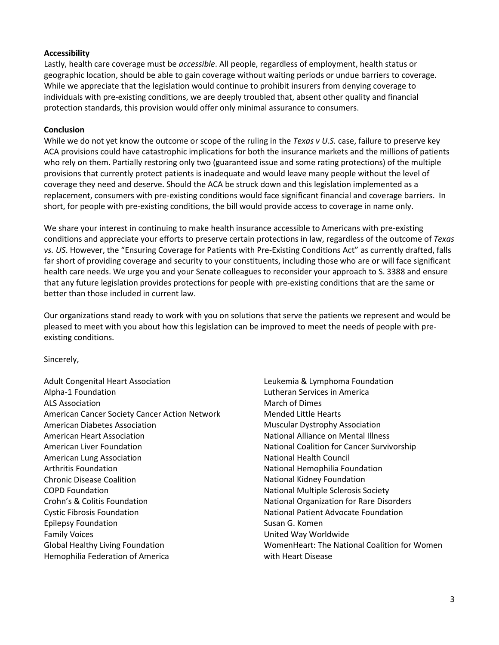## **Accessibility**

Lastly, health care coverage must be *accessible*. All people, regardless of employment, health status or geographic location, should be able to gain coverage without waiting periods or undue barriers to coverage. While we appreciate that the legislation would continue to prohibit insurers from denying coverage to individuals with pre-existing conditions, we are deeply troubled that, absent other quality and financial protection standards, this provision would offer only minimal assurance to consumers.

## **Conclusion**

While we do not yet know the outcome or scope of the ruling in the *Texas v U.S.* case, failure to preserve key ACA provisions could have catastrophic implications for both the insurance markets and the millions of patients who rely on them. Partially restoring only two (guaranteed issue and some rating protections) of the multiple provisions that currently protect patients is inadequate and would leave many people without the level of coverage they need and deserve. Should the ACA be struck down and this legislation implemented as a replacement, consumers with pre-existing conditions would face significant financial and coverage barriers. In short, for people with pre-existing conditions, the bill would provide access to coverage in name only.

We share your interest in continuing to make health insurance accessible to Americans with pre-existing conditions and appreciate your efforts to preserve certain protections in law, regardless of the outcome of *Texas vs. US*. However, the "Ensuring Coverage for Patients with Pre-Existing Conditions Act" as currently drafted, falls far short of providing coverage and security to your constituents, including those who are or will face significant health care needs. We urge you and your Senate colleagues to reconsider your approach to S. 3388 and ensure that any future legislation provides protections for people with pre-existing conditions that are the same or better than those included in current law.

Our organizations stand ready to work with you on solutions that serve the patients we represent and would be pleased to meet with you about how this legislation can be improved to meet the needs of people with preexisting conditions.

Sincerely,

Adult Congenital Heart Association Alpha-1 Foundation ALS Association American Cancer Society Cancer Action Network American Diabetes Association American Heart Association American Liver Foundation American Lung Association Arthritis Foundation Chronic Disease Coalition COPD Foundation Crohn's & Colitis Foundation Cystic Fibrosis Foundation Epilepsy Foundation Family Voices Global Healthy Living Foundation Hemophilia Federation of America

Leukemia & Lymphoma Foundation Lutheran Services in America March of Dimes Mended Little Hearts Muscular Dystrophy Association National Alliance on Mental Illness National Coalition for Cancer Survivorship National Health Council National Hemophilia Foundation National Kidney Foundation National Multiple Sclerosis Society National Organization for Rare Disorders National Patient Advocate Foundation Susan G. Komen United Way Worldwide WomenHeart: The National Coalition for Women with Heart Disease